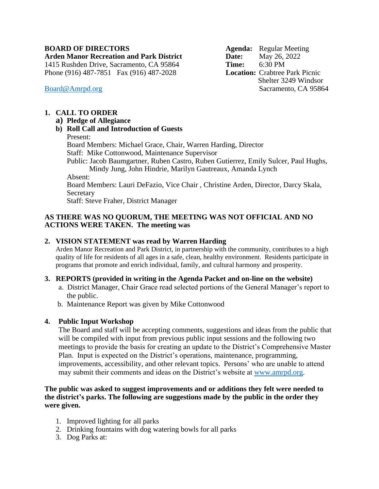### **BOARD OF DIRECTORS Agenda:** Regular Meeting

**Arden Manor Recreation and Park District Date:** May 26, 2022 1415 Rushden Drive, Sacramento, CA 95864 **Time:** 6:30 PM Phone (916) 487-7851 Fax (916) 487-2028 **Location:** Crabtree Park Picnic

 Shelter 3249 Windsor [Board@Amrpd.org](mailto:Board@Amrpd.org) Sacramento, CA 95864

## **1. CALL TO ORDER**

**a) Pledge of Allegiance**

## **b) Roll Call and Introduction of Guests**

Present:

Board Members: Michael Grace, Chair, Warren Harding, Director Staff: Mike Cottonwood, Maintenance Supervisor Public: Jacob Baumgartner, Ruben Castro, Ruben Gutierrez, Emily Sulcer, Paul Hughs, Mindy Jung, John Hindrie, Marilyn Gautreaux, Amanda Lynch Absent: Board Members: Lauri DeFazio, Vice Chair , Christine Arden, Director, Darcy Skala, Secretary

Staff: Steve Fraher, District Manager

## **AS THERE WAS NO QUORUM, THE MEETING WAS NOT OFFICIAL AND NO ACTIONS WERE TAKEN. The meeting was**

# **2. VISION STATEMENT was read by Warren Harding**

Arden Manor Recreation and Park District, in partnership with the community, contributes to a high quality of life for residents of all ages in a safe, clean, healthy environment. Residents participate in programs that promote and enrich individual, family, and cultural harmony and prosperity.

#### **3. REPORTS (provided in writing in the Agenda Packet and on-line on the website)**

- a. District Manager, Chair Grace read selected portions of the General Manager's report to the public.
- b. Maintenance Report was given by Mike Cottonwood

# **4. Public Input Workshop**

The Board and staff will be accepting comments, suggestions and ideas from the public that will be compiled with input from previous public input sessions and the following two meetings to provide the basis for creating an update to the District's Comprehensive Master Plan. Input is expected on the District's operations, maintenance, programming, improvements, accessibility, and other relevant topics. Persons' who are unable to attend may submit their comments and ideas on the District's website at [www.amrpd.org.](http://www.amrpd.org/)

#### **The public was asked to suggest improvements and or additions they felt were needed to the district's parks. The following are suggestions made by the public in the order they were given.**

- 1. Improved lighting for all parks
- 2. Drinking fountains with dog watering bowls for all parks
- 3. Dog Parks at: